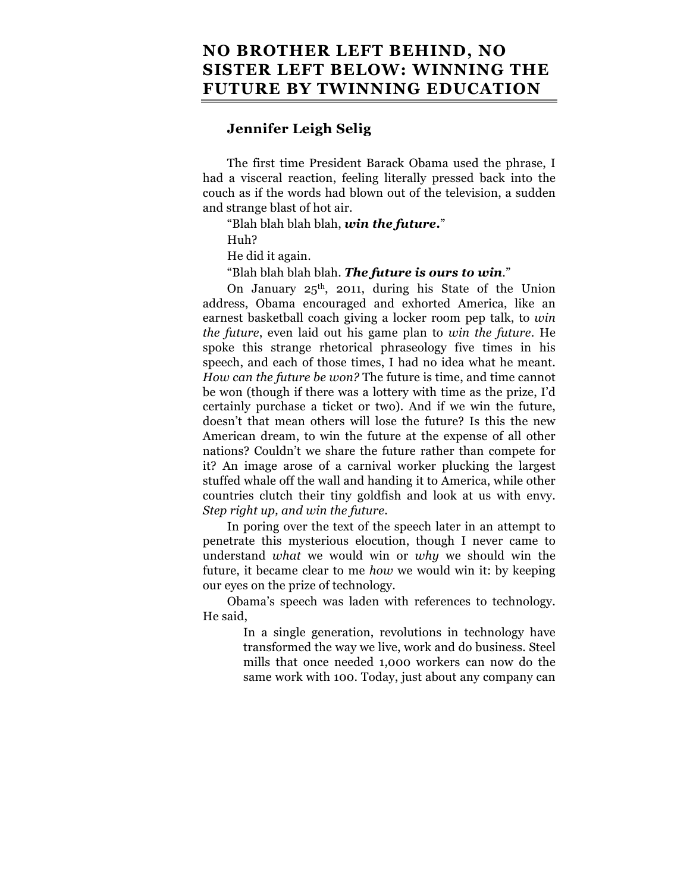## **NO BROTHER LEFT BEHIND, NO SISTER LEFT BELOW: WINNING THE FUTURE BY TWINNING EDUCATION**

## **Jennifer Leigh Selig**

The first time President Barack Obama used the phrase, I had a visceral reaction, feeling literally pressed back into the couch as if the words had blown out of the television, a sudden and strange blast of hot air.

"Blah blah blah blah, *win the future***.**"

Huh?

He did it again.

"Blah blah blah blah. *The future is ours to win*."

On January 25th, 2011, during his State of the Union address, Obama encouraged and exhorted America, like an earnest basketball coach giving a locker room pep talk, to *win the future*, even laid out his game plan to *win the future*. He spoke this strange rhetorical phraseology five times in his speech, and each of those times, I had no idea what he meant. *How can the future be won?* The future is time, and time cannot be won (though if there was a lottery with time as the prize, I'd certainly purchase a ticket or two). And if we win the future, doesn't that mean others will lose the future? Is this the new American dream, to win the future at the expense of all other nations? Couldn't we share the future rather than compete for it? An image arose of a carnival worker plucking the largest stuffed whale off the wall and handing it to America, while other countries clutch their tiny goldfish and look at us with envy. *Step right up, and win the future*.

In poring over the text of the speech later in an attempt to penetrate this mysterious elocution, though I never came to understand *what* we would win or *why* we should win the future, it became clear to me *how* we would win it: by keeping our eyes on the prize of technology.

Obama's speech was laden with references to technology. He said,

> In a single generation, revolutions in technology have transformed the way we live, work and do business. Steel mills that once needed 1,000 workers can now do the same work with 100. Today, just about any company can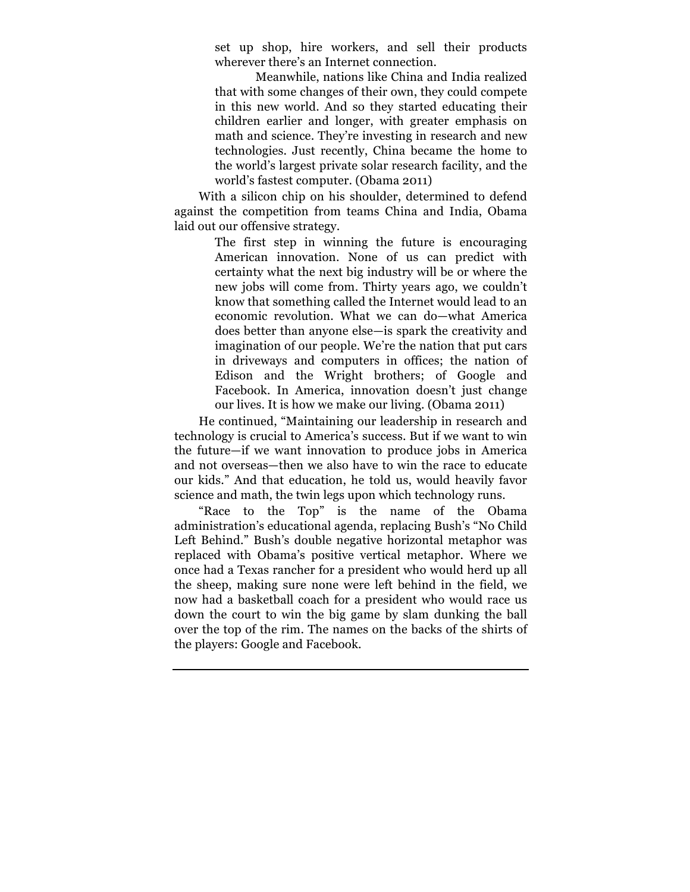set up shop, hire workers, and sell their products wherever there's an Internet connection.

Meanwhile, nations like China and India realized that with some changes of their own, they could compete in this new world. And so they started educating their children earlier and longer, with greater emphasis on math and science. They're investing in research and new technologies. Just recently, China became the home to the world's largest private solar research facility, and the world's fastest computer. (Obama 2011)

With a silicon chip on his shoulder, determined to defend against the competition from teams China and India, Obama laid out our offensive strategy.

> The first step in winning the future is encouraging American innovation. None of us can predict with certainty what the next big industry will be or where the new jobs will come from. Thirty years ago, we couldn't know that something called the Internet would lead to an economic revolution. What we can do—what America does better than anyone else—is spark the creativity and imagination of our people. We're the nation that put cars in driveways and computers in offices; the nation of Edison and the Wright brothers; of Google and Facebook. In America, innovation doesn't just change our lives. It is how we make our living. (Obama 2011)

He continued, "Maintaining our leadership in research and technology is crucial to America's success. But if we want to win the future—if we want innovation to produce jobs in America and not overseas—then we also have to win the race to educate our kids." And that education, he told us, would heavily favor science and math, the twin legs upon which technology runs.

"Race to the Top" is the name of the Obama administration's educational agenda, replacing Bush's "No Child Left Behind." Bush's double negative horizontal metaphor was replaced with Obama's positive vertical metaphor. Where we once had a Texas rancher for a president who would herd up all the sheep, making sure none were left behind in the field, we now had a basketball coach for a president who would race us down the court to win the big game by slam dunking the ball over the top of the rim. The names on the backs of the shirts of the players: Google and Facebook.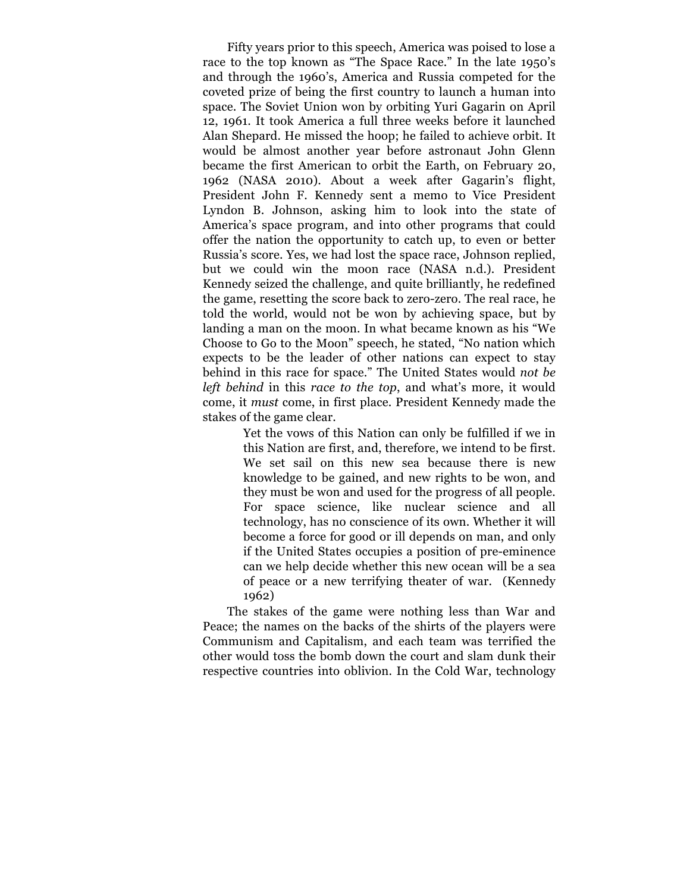Fifty years prior to this speech, America was poised to lose a race to the top known as "The Space Race." In the late 1950's and through the 1960's, America and Russia competed for the coveted prize of being the first country to launch a human into space. The Soviet Union won by orbiting Yuri Gagarin on April 12, 1961. It took America a full three weeks before it launched Alan Shepard. He missed the hoop; he failed to achieve orbit. It would be almost another year before astronaut John Glenn became the first American to orbit the Earth, on February 20, 1962 (NASA 2010). About a week after Gagarin's flight, President John F. Kennedy sent a memo to Vice President Lyndon B. Johnson, asking him to look into the state of America's space program, and into other programs that could offer the nation the opportunity to catch up, to even or better Russia's score. Yes, we had lost the space race, Johnson replied, but we could win the moon race (NASA n.d.). President Kennedy seized the challenge, and quite brilliantly, he redefined the game, resetting the score back to zero-zero. The real race, he told the world, would not be won by achieving space, but by landing a man on the moon. In what became known as his "We Choose to Go to the Moon" speech, he stated, "No nation which expects to be the leader of other nations can expect to stay behind in this race for space." The United States would *not be left behind* in this *race to the top*, and what's more, it would come, it *must* come, in first place. President Kennedy made the stakes of the game clear.

> Yet the vows of this Nation can only be fulfilled if we in this Nation are first, and, therefore, we intend to be first. We set sail on this new sea because there is new knowledge to be gained, and new rights to be won, and they must be won and used for the progress of all people. For space science, like nuclear science and all technology, has no conscience of its own. Whether it will become a force for good or ill depends on man, and only if the United States occupies a position of pre-eminence can we help decide whether this new ocean will be a sea of peace or a new terrifying theater of war. (Kennedy 1962)

The stakes of the game were nothing less than War and Peace; the names on the backs of the shirts of the players were Communism and Capitalism, and each team was terrified the other would toss the bomb down the court and slam dunk their respective countries into oblivion. In the Cold War, technology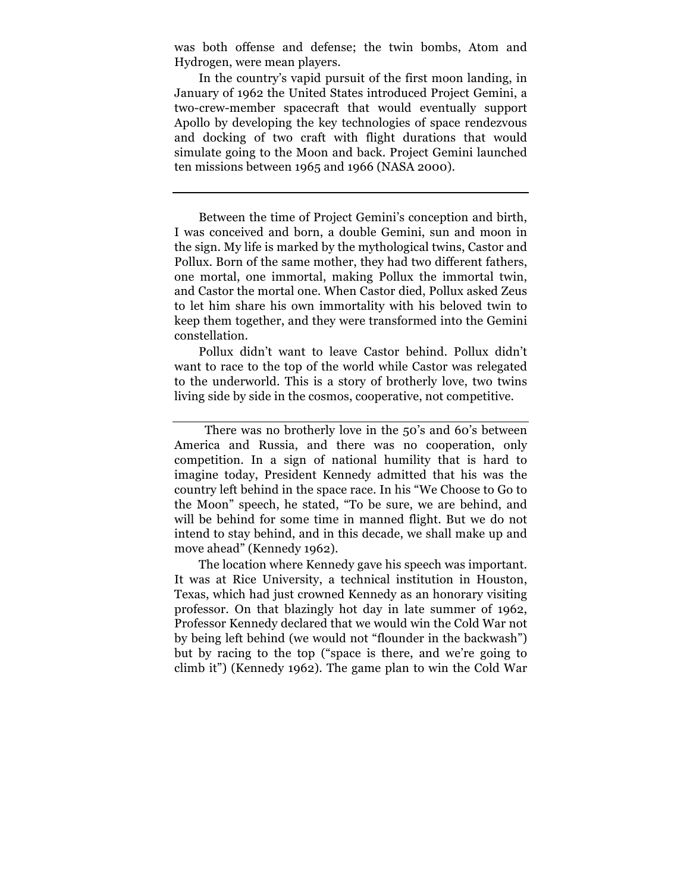was both offense and defense; the twin bombs, Atom and Hydrogen, were mean players.

In the country's vapid pursuit of the first moon landing, in January of 1962 the United States introduced Project Gemini, a two-crew-member spacecraft that would eventually support Apollo by developing the key technologies of space rendezvous and docking of two craft with flight durations that would simulate going to the Moon and back. Project Gemini launched ten missions between 1965 and 1966 (NASA 2000).

Between the time of Project Gemini's conception and birth, I was conceived and born, a double Gemini, sun and moon in the sign. My life is marked by the mythological twins, Castor and Pollux. Born of the same mother, they had two different fathers, one mortal, one immortal, making Pollux the immortal twin, and Castor the mortal one. When Castor died, Pollux asked Zeus to let him share his own immortality with his beloved twin to keep them together, and they were transformed into the Gemini constellation.

Pollux didn't want to leave Castor behind. Pollux didn't want to race to the top of the world while Castor was relegated to the underworld. This is a story of brotherly love, two twins living side by side in the cosmos, cooperative, not competitive.

The location where Kennedy gave his speech was important. It was at Rice University, a technical institution in Houston, Texas, which had just crowned Kennedy as an honorary visiting professor. On that blazingly hot day in late summer of 1962, Professor Kennedy declared that we would win the Cold War not by being left behind (we would not "flounder in the backwash") but by racing to the top ("space is there, and we're going to climb it") (Kennedy 1962). The game plan to win the Cold War

There was no brotherly love in the 50's and 60's between America and Russia, and there was no cooperation, only competition. In a sign of national humility that is hard to imagine today, President Kennedy admitted that his was the country left behind in the space race. In his "We Choose to Go to the Moon" speech, he stated, "To be sure, we are behind, and will be behind for some time in manned flight. But we do not intend to stay behind, and in this decade, we shall make up and move ahead" (Kennedy 1962).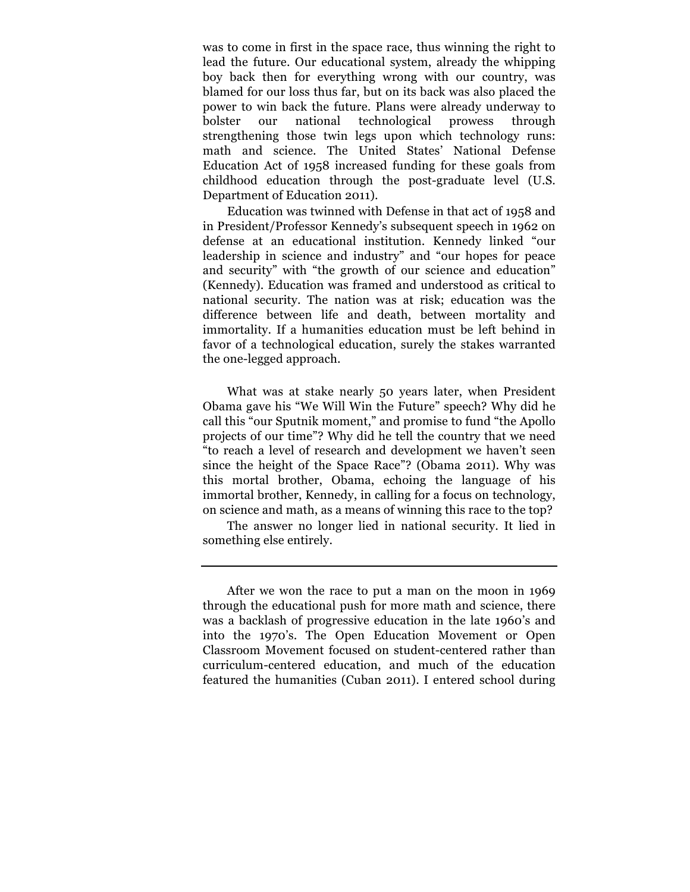was to come in first in the space race, thus winning the right to lead the future. Our educational system, already the whipping boy back then for everything wrong with our country, was blamed for our loss thus far, but on its back was also placed the power to win back the future. Plans were already underway to bolster our national technological prowess through strengthening those twin legs upon which technology runs: math and science. The United States' National Defense Education Act of 1958 increased funding for these goals from childhood education through the post-graduate level (U.S. Department of Education 2011).

Education was twinned with Defense in that act of 1958 and in President/Professor Kennedy's subsequent speech in 1962 on defense at an educational institution. Kennedy linked "our leadership in science and industry" and "our hopes for peace and security" with "the growth of our science and education" (Kennedy). Education was framed and understood as critical to national security. The nation was at risk; education was the difference between life and death, between mortality and immortality. If a humanities education must be left behind in favor of a technological education, surely the stakes warranted the one-legged approach.

What was at stake nearly 50 years later, when President Obama gave his "We Will Win the Future" speech? Why did he call this "our Sputnik moment," and promise to fund "the Apollo projects of our time"? Why did he tell the country that we need "to reach a level of research and development we haven't seen since the height of the Space Race"? (Obama 2011). Why was this mortal brother, Obama, echoing the language of his immortal brother, Kennedy, in calling for a focus on technology, on science and math, as a means of winning this race to the top?

The answer no longer lied in national security. It lied in something else entirely.

After we won the race to put a man on the moon in 1969 through the educational push for more math and science, there was a backlash of progressive education in the late 1960's and into the 1970's. The Open Education Movement or Open Classroom Movement focused on student-centered rather than curriculum-centered education, and much of the education featured the humanities (Cuban 2011). I entered school during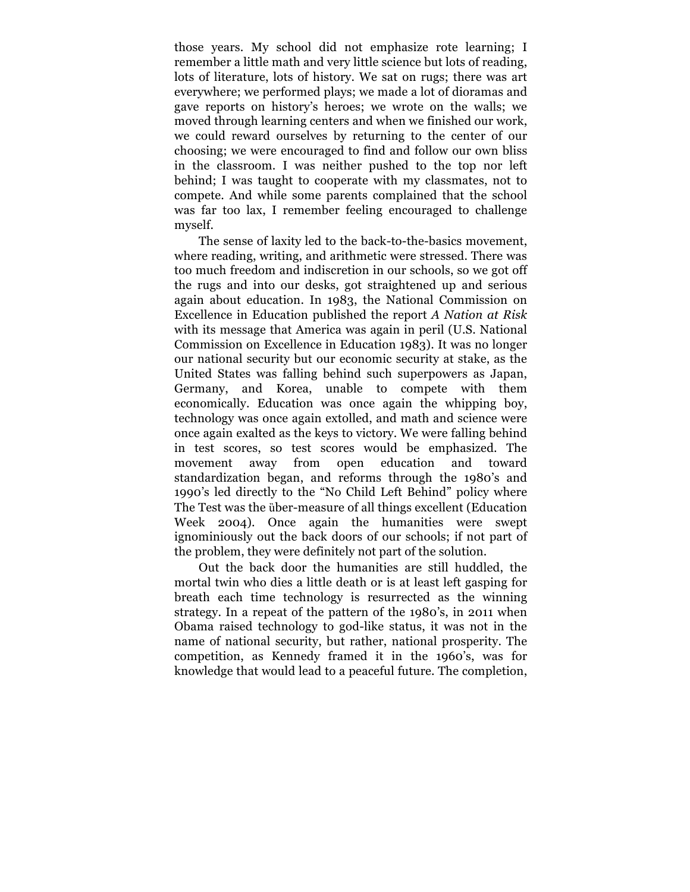those years. My school did not emphasize rote learning; I remember a little math and very little science but lots of reading, lots of literature, lots of history. We sat on rugs; there was art everywhere; we performed plays; we made a lot of dioramas and gave reports on history's heroes; we wrote on the walls; we moved through learning centers and when we finished our work, we could reward ourselves by returning to the center of our choosing; we were encouraged to find and follow our own bliss in the classroom. I was neither pushed to the top nor left behind; I was taught to cooperate with my classmates, not to compete. And while some parents complained that the school was far too lax, I remember feeling encouraged to challenge myself.

The sense of laxity led to the back-to-the-basics movement, where reading, writing, and arithmetic were stressed. There was too much freedom and indiscretion in our schools, so we got off the rugs and into our desks, got straightened up and serious again about education. In 1983, the National Commission on Excellence in Education published the report *A Nation at Risk* with its message that America was again in peril (U.S. National Commission on Excellence in Education 1983). It was no longer our national security but our economic security at stake, as the United States was falling behind such superpowers as Japan, Germany, and Korea, unable to compete with them economically. Education was once again the whipping boy, technology was once again extolled, and math and science were once again exalted as the keys to victory. We were falling behind in test scores, so test scores would be emphasized. The movement away from open education and toward standardization began, and reforms through the 1980's and 1990's led directly to the "No Child Left Behind" policy where The Test was the über-measure of all things excellent (Education Week 2004). Once again the humanities were swept ignominiously out the back doors of our schools; if not part of the problem, they were definitely not part of the solution.

Out the back door the humanities are still huddled, the mortal twin who dies a little death or is at least left gasping for breath each time technology is resurrected as the winning strategy. In a repeat of the pattern of the 1980's, in 2011 when Obama raised technology to god-like status, it was not in the name of national security, but rather, national prosperity. The competition, as Kennedy framed it in the 1960's, was for knowledge that would lead to a peaceful future. The completion,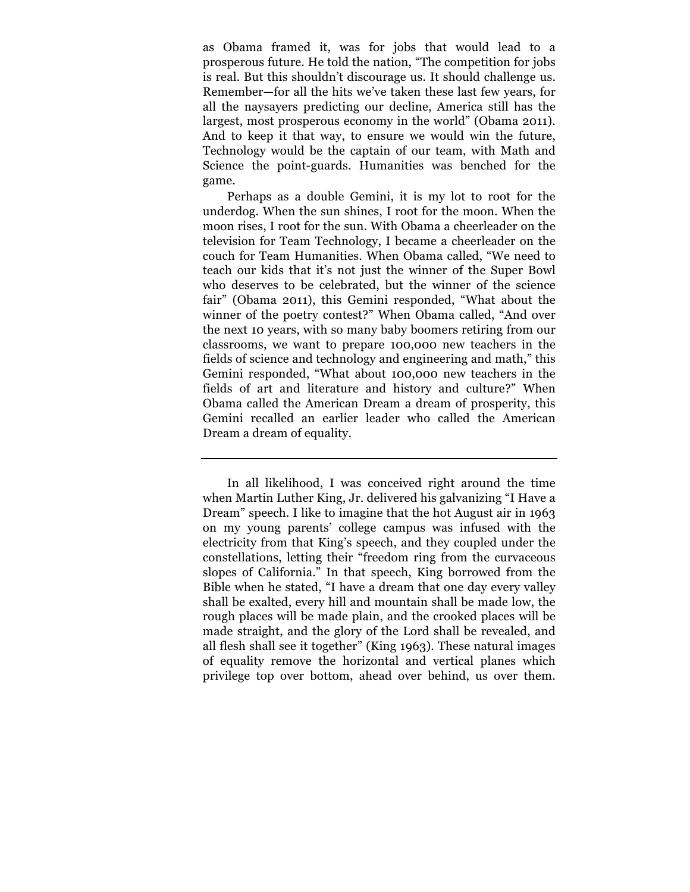as Obama framed it, was for jobs that would lead to a prosperous future. He told the nation, "The competition for jobs is real. But this shouldn't discourage us. It should challenge us. Remember—for all the hits we've taken these last few years, for all the naysayers predicting our decline, America still has the largest, most prosperous economy in the world" (Obama 2011). And to keep it that way, to ensure we would win the future, Technology would be the captain of our team, with Math and Science the point-guards. Humanities was benched for the game.

Perhaps as a double Gemini, it is my lot to root for the underdog. When the sun shines, I root for the moon. When the moon rises, I root for the sun. With Obama a cheerleader on the television for Team Technology, I became a cheerleader on the couch for Team Humanities. When Obama called, "We need to teach our kids that it's not just the winner of the Super Bowl who deserves to be celebrated, but the winner of the science fair" (Obama 2011), this Gemini responded, "What about the winner of the poetry contest?" When Obama called, "And over the next 10 years, with so many baby boomers retiring from our classrooms, we want to prepare 100,000 new teachers in the fields of science and technology and engineering and math," this Gemini responded, "What about 100,000 new teachers in the fields of art and literature and history and culture?" When Obama called the American Dream a dream of prosperity, this Gemini recalled an earlier leader who called the American Dream a dream of equality.

In all likelihood, I was conceived right around the time when Martin Luther King, Jr. delivered his galvanizing "I Have a Dream" speech. I like to imagine that the hot August air in 1963 on my young parents' college campus was infused with the electricity from that King's speech, and they coupled under the constellations, letting their "freedom ring from the curvaceous slopes of California." In that speech, King borrowed from the Bible when he stated, "I have a dream that one day every valley shall be exalted, every hill and mountain shall be made low, the rough places will be made plain, and the crooked places will be made straight, and the glory of the Lord shall be revealed, and all flesh shall see it together" (King 1963). These natural images of equality remove the horizontal and vertical planes which privilege top over bottom, ahead over behind, us over them.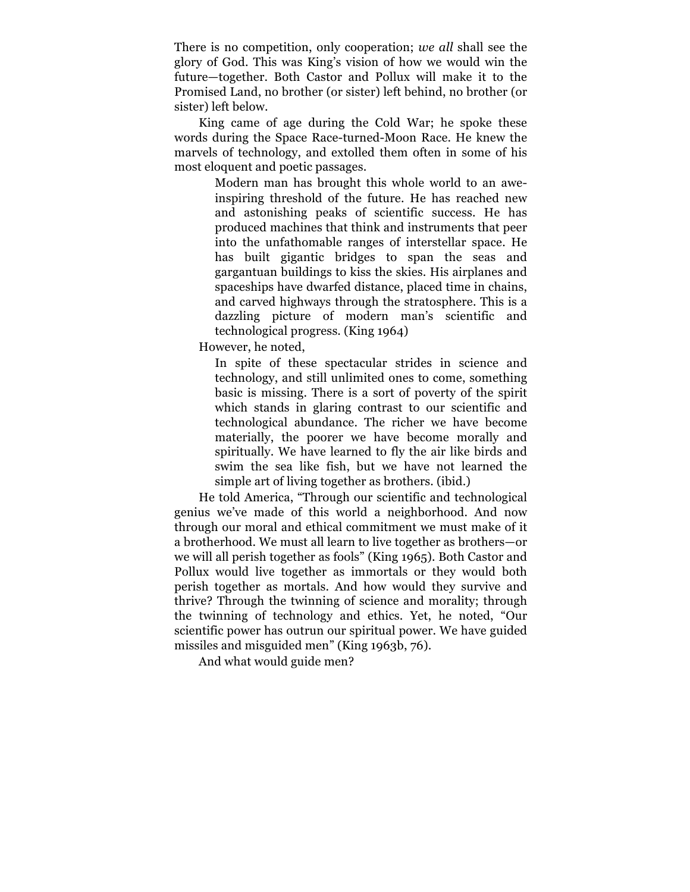There is no competition, only cooperation; *we all* shall see the glory of God. This was King's vision of how we would win the future—together. Both Castor and Pollux will make it to the Promised Land, no brother (or sister) left behind, no brother (or sister) left below.

King came of age during the Cold War; he spoke these words during the Space Race-turned-Moon Race. He knew the marvels of technology, and extolled them often in some of his most eloquent and poetic passages.

> Modern man has brought this whole world to an aweinspiring threshold of the future. He has reached new and astonishing peaks of scientific success. He has produced machines that think and instruments that peer into the unfathomable ranges of interstellar space. He has built gigantic bridges to span the seas and gargantuan buildings to kiss the skies. His airplanes and spaceships have dwarfed distance, placed time in chains, and carved highways through the stratosphere. This is a dazzling picture of modern man's scientific and technological progress. (King 1964)

However, he noted,

In spite of these spectacular strides in science and technology, and still unlimited ones to come, something basic is missing. There is a sort of poverty of the spirit which stands in glaring contrast to our scientific and technological abundance. The richer we have become materially, the poorer we have become morally and spiritually. We have learned to fly the air like birds and swim the sea like fish, but we have not learned the simple art of living together as brothers. (ibid.)

He told America, "Through our scientific and technological genius we've made of this world a neighborhood. And now through our moral and ethical commitment we must make of it a brotherhood. We must all learn to live together as brothers—or we will all perish together as fools" (King 1965). Both Castor and Pollux would live together as immortals or they would both perish together as mortals. And how would they survive and thrive? Through the twinning of science and morality; through the twinning of technology and ethics. Yet, he noted, "Our scientific power has outrun our spiritual power. We have guided missiles and misguided men" (King 1963b, 76).

And what would guide men?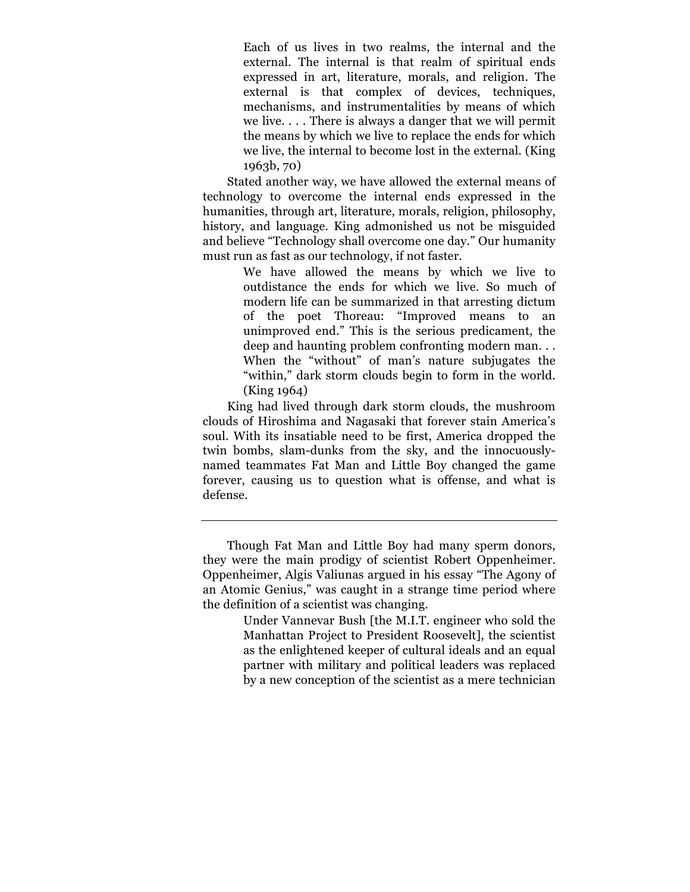Each of us lives in two realms, the internal and the external. The internal is that realm of spiritual ends expressed in art, literature, morals, and religion. The external is that complex of devices, techniques, mechanisms, and instrumentalities by means of which we live. . . . There is always a danger that we will permit the means by which we live to replace the ends for which we live, the internal to become lost in the external. (King 1963b, 70)

Stated another way, we have allowed the external means of technology to overcome the internal ends expressed in the humanities, through art, literature, morals, religion, philosophy, history, and language. King admonished us not be misguided and believe "Technology shall overcome one day." Our humanity must run as fast as our technology, if not faster.

> We have allowed the means by which we live to outdistance the ends for which we live. So much of modern life can be summarized in that arresting dictum of the poet Thoreau: "Improved means to an unimproved end." This is the serious predicament, the deep and haunting problem confronting modern man. . . When the "without" of man's nature subjugates the "within," dark storm clouds begin to form in the world. (King 1964)

King had lived through dark storm clouds, the mushroom clouds of Hiroshima and Nagasaki that forever stain America's soul. With its insatiable need to be first, America dropped the twin bombs, slam-dunks from the sky, and the innocuouslynamed teammates Fat Man and Little Boy changed the game forever, causing us to question what is offense, and what is defense.

Though Fat Man and Little Boy had many sperm donors, they were the main prodigy of scientist Robert Oppenheimer. Oppenheimer, Algis Valiunas argued in his essay "The Agony of an Atomic Genius," was caught in a strange time period where the definition of a scientist was changing.

Under Vannevar Bush [the M.I.T. engineer who sold the Manhattan Project to President Roosevelt], the scientist as the enlightened keeper of cultural ideals and an equal partner with military and political leaders was replaced by a new conception of the scientist as a mere technician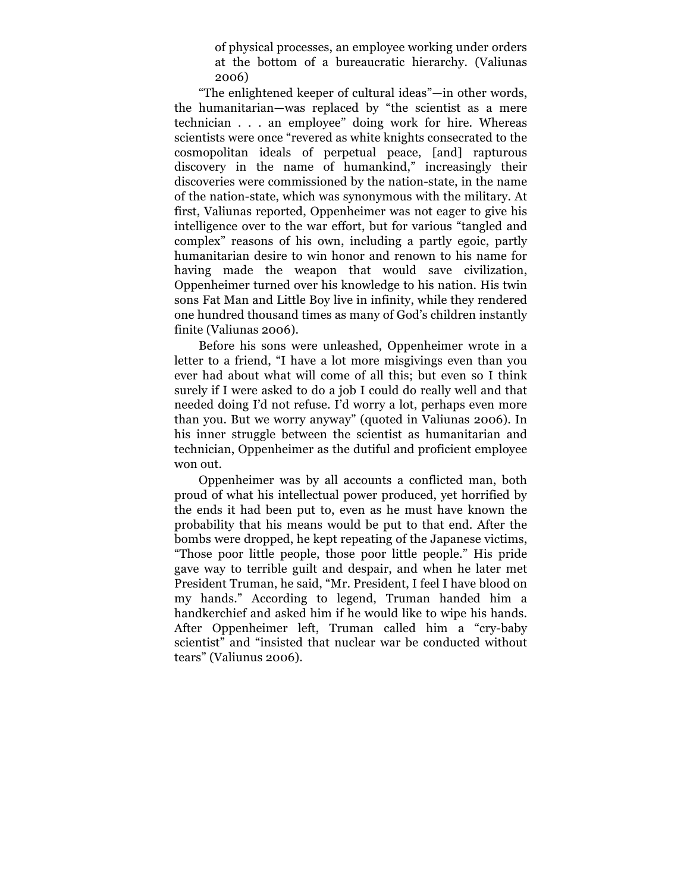of physical processes, an employee working under orders at the bottom of a bureaucratic hierarchy. (Valiunas 2006)

"The enlightened keeper of cultural ideas"—in other words, the humanitarian—was replaced by "the scientist as a mere technician . . . an employee" doing work for hire. Whereas scientists were once "revered as white knights consecrated to the cosmopolitan ideals of perpetual peace, [and] rapturous discovery in the name of humankind," increasingly their discoveries were commissioned by the nation-state, in the name of the nation-state, which was synonymous with the military. At first, Valiunas reported, Oppenheimer was not eager to give his intelligence over to the war effort, but for various "tangled and complex" reasons of his own, including a partly egoic, partly humanitarian desire to win honor and renown to his name for having made the weapon that would save civilization, Oppenheimer turned over his knowledge to his nation. His twin sons Fat Man and Little Boy live in infinity, while they rendered one hundred thousand times as many of God's children instantly finite (Valiunas 2006).

Before his sons were unleashed, Oppenheimer wrote in a letter to a friend, "I have a lot more misgivings even than you ever had about what will come of all this; but even so I think surely if I were asked to do a job I could do really well and that needed doing I'd not refuse. I'd worry a lot, perhaps even more than you. But we worry anyway" (quoted in Valiunas 2006). In his inner struggle between the scientist as humanitarian and technician, Oppenheimer as the dutiful and proficient employee won out.

Oppenheimer was by all accounts a conflicted man, both proud of what his intellectual power produced, yet horrified by the ends it had been put to, even as he must have known the probability that his means would be put to that end. After the bombs were dropped, he kept repeating of the Japanese victims, "Those poor little people, those poor little people." His pride gave way to terrible guilt and despair, and when he later met President Truman, he said, "Mr. President, I feel I have blood on my hands." According to legend, Truman handed him a handkerchief and asked him if he would like to wipe his hands. After Oppenheimer left, Truman called him a "cry-baby scientist" and "insisted that nuclear war be conducted without tears" (Valiunus 2006).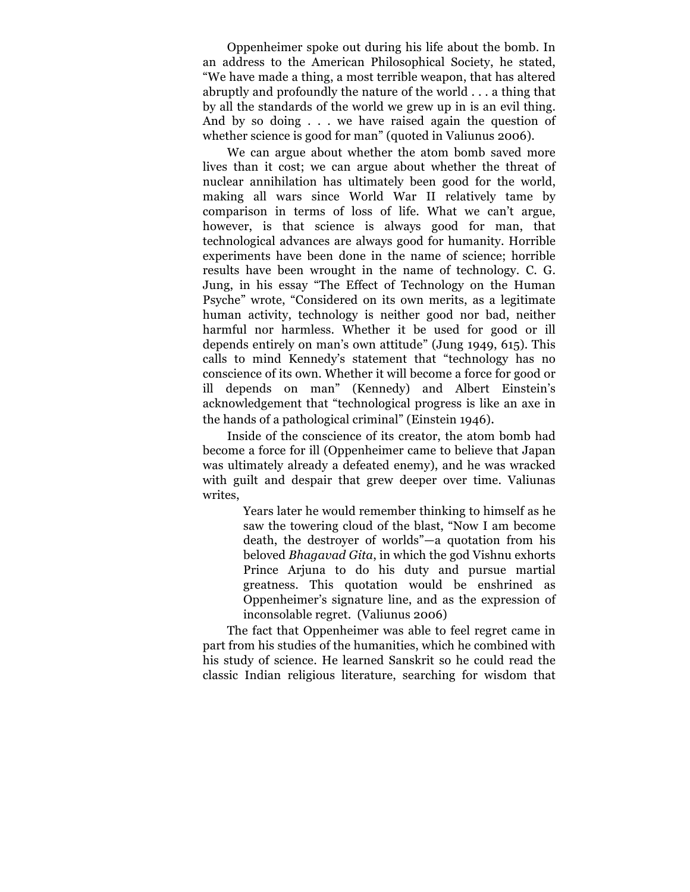Oppenheimer spoke out during his life about the bomb. In an address to the American Philosophical Society, he stated, "We have made a thing, a most terrible weapon, that has altered abruptly and profoundly the nature of the world . . . a thing that by all the standards of the world we grew up in is an evil thing. And by so doing . . . we have raised again the question of whether science is good for man" (quoted in Valiunus 2006).

We can argue about whether the atom bomb saved more lives than it cost; we can argue about whether the threat of nuclear annihilation has ultimately been good for the world, making all wars since World War II relatively tame by comparison in terms of loss of life. What we can't argue, however, is that science is always good for man, that technological advances are always good for humanity. Horrible experiments have been done in the name of science; horrible results have been wrought in the name of technology. C. G. Jung, in his essay "The Effect of Technology on the Human Psyche" wrote, "Considered on its own merits, as a legitimate human activity, technology is neither good nor bad, neither harmful nor harmless. Whether it be used for good or ill depends entirely on man's own attitude" (Jung 1949, 615). This calls to mind Kennedy's statement that "technology has no conscience of its own. Whether it will become a force for good or ill depends on man" (Kennedy) and Albert Einstein's acknowledgement that "technological progress is like an axe in the hands of a pathological criminal" (Einstein 1946).

Inside of the conscience of its creator, the atom bomb had become a force for ill (Oppenheimer came to believe that Japan was ultimately already a defeated enemy), and he was wracked with guilt and despair that grew deeper over time. Valiunas writes,

> Years later he would remember thinking to himself as he saw the towering cloud of the blast, "Now I am become death, the destroyer of worlds"—a quotation from his beloved *Bhagavad Gita*, in which the god Vishnu exhorts Prince Arjuna to do his duty and pursue martial greatness. This quotation would be enshrined as Oppenheimer's signature line, and as the expression of inconsolable regret. (Valiunus 2006)

The fact that Oppenheimer was able to feel regret came in part from his studies of the humanities, which he combined with his study of science. He learned Sanskrit so he could read the classic Indian religious literature, searching for wisdom that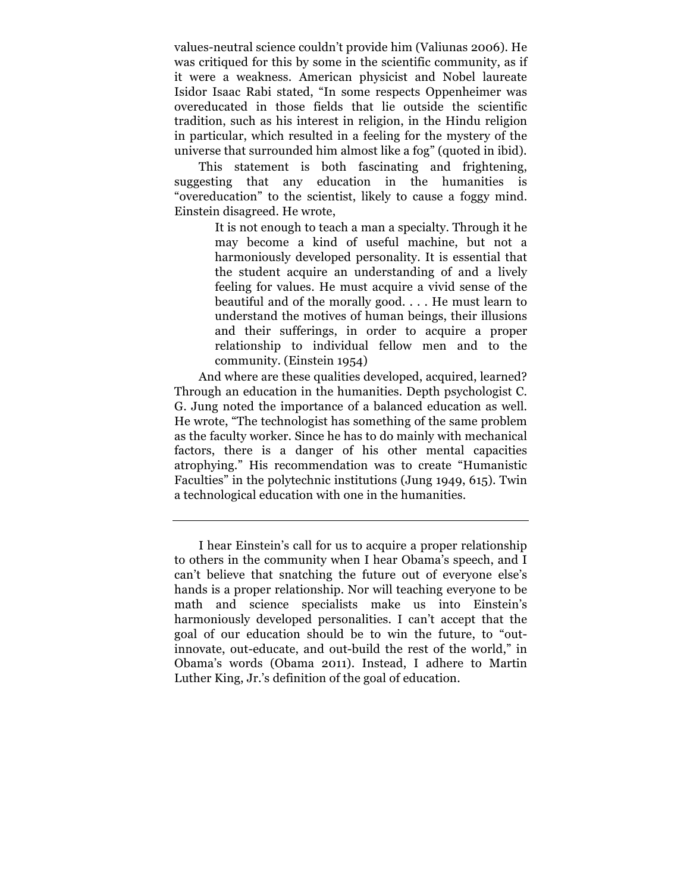values-neutral science couldn't provide him (Valiunas 2006). He was critiqued for this by some in the scientific community, as if it were a weakness. American physicist and Nobel laureate Isidor Isaac Rabi stated, "In some respects Oppenheimer was overeducated in those fields that lie outside the scientific tradition, such as his interest in religion, in the Hindu religion in particular, which resulted in a feeling for the mystery of the universe that surrounded him almost like a fog" (quoted in ibid).

This statement is both fascinating and frightening, suggesting that any education in the humanities is "overeducation" to the scientist, likely to cause a foggy mind. Einstein disagreed. He wrote,

> It is not enough to teach a man a specialty. Through it he may become a kind of useful machine, but not a harmoniously developed personality. It is essential that the student acquire an understanding of and a lively feeling for values. He must acquire a vivid sense of the beautiful and of the morally good. . . . He must learn to understand the motives of human beings, their illusions and their sufferings, in order to acquire a proper relationship to individual fellow men and to the community. (Einstein 1954)

And where are these qualities developed, acquired, learned? Through an education in the humanities. Depth psychologist C. G. Jung noted the importance of a balanced education as well. He wrote, "The technologist has something of the same problem as the faculty worker. Since he has to do mainly with mechanical factors, there is a danger of his other mental capacities atrophying." His recommendation was to create "Humanistic Faculties" in the polytechnic institutions (Jung 1949, 615). Twin a technological education with one in the humanities.

I hear Einstein's call for us to acquire a proper relationship to others in the community when I hear Obama's speech, and I can't believe that snatching the future out of everyone else's hands is a proper relationship. Nor will teaching everyone to be math and science specialists make us into Einstein's harmoniously developed personalities. I can't accept that the goal of our education should be to win the future, to "outinnovate, out-educate, and out-build the rest of the world," in Obama's words (Obama 2011). Instead, I adhere to Martin Luther King, Jr.'s definition of the goal of education.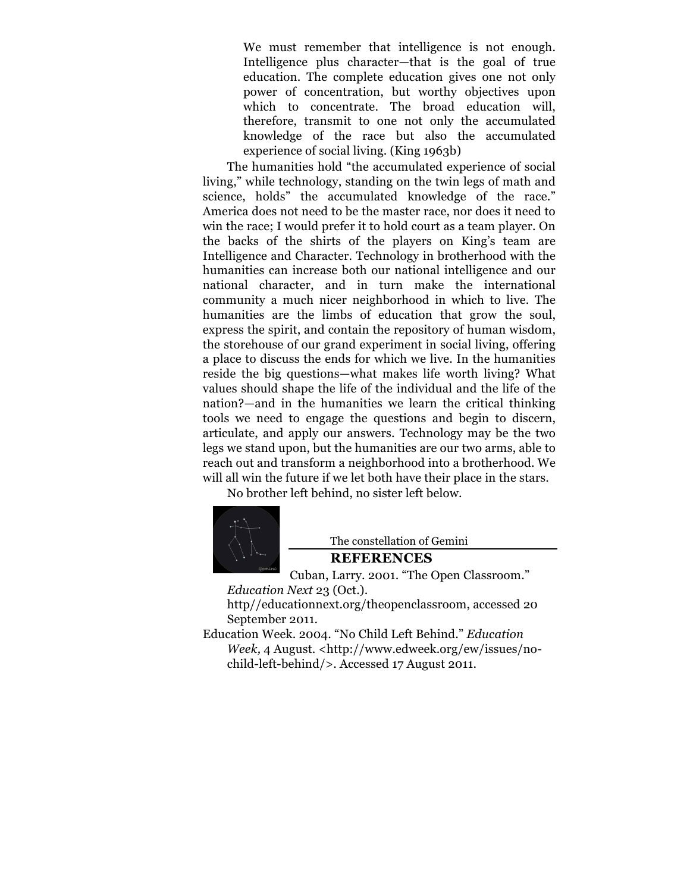We must remember that intelligence is not enough. Intelligence plus character—that is the goal of true education. The complete education gives one not only power of concentration, but worthy objectives upon which to concentrate. The broad education will, therefore, transmit to one not only the accumulated knowledge of the race but also the accumulated experience of social living. (King 1963b)

The humanities hold "the accumulated experience of social living," while technology, standing on the twin legs of math and science, holds" the accumulated knowledge of the race." America does not need to be the master race, nor does it need to win the race; I would prefer it to hold court as a team player. On the backs of the shirts of the players on King's team are Intelligence and Character. Technology in brotherhood with the humanities can increase both our national intelligence and our national character, and in turn make the international community a much nicer neighborhood in which to live. The humanities are the limbs of education that grow the soul, express the spirit, and contain the repository of human wisdom, the storehouse of our grand experiment in social living, offering a place to discuss the ends for which we live. In the humanities reside the big questions—what makes life worth living? What values should shape the life of the individual and the life of the nation?—and in the humanities we learn the critical thinking tools we need to engage the questions and begin to discern, articulate, and apply our answers. Technology may be the two legs we stand upon, but the humanities are our two arms, able to reach out and transform a neighborhood into a brotherhood. We will all win the future if we let both have their place in the stars.

No brother left behind, no sister left below.



The constellation of Gemini

## **REFERENCES**

Cuban, Larry. 2001. "The Open Classroom." *Education Next* 23 (Oct.).

http//educationnext.org/theopenclassroom, accessed 20 September 2011.

Education Week. 2004. "No Child Left Behind." *Education Week,* 4 August. <http://www.edweek.org/ew/issues/nochild-left-behind/>. Accessed 17 August 2011.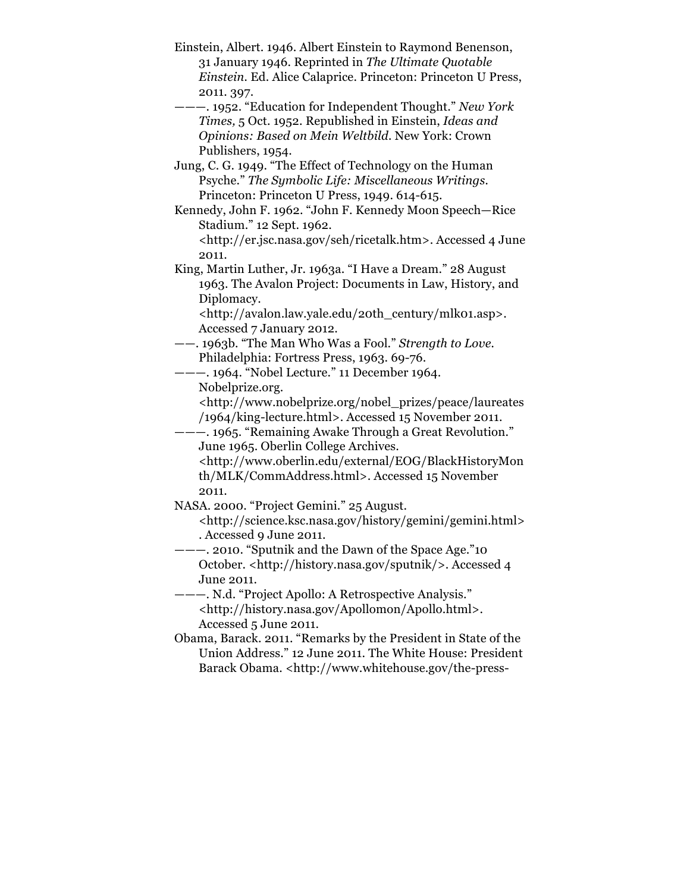Einstein, Albert. 1946. Albert Einstein to Raymond Benenson, 31 January 1946. Reprinted in *The Ultimate Quotable Einstein.* Ed. Alice Calaprice. Princeton: Princeton U Press, 2011. 397.

———. 1952. "Education for Independent Thought." *New York Times,* 5 Oct. 1952. Republished in Einstein, *Ideas and Opinions: Based on Mein Weltbild.* New York: Crown Publishers, 1954.

Jung, C. G. 1949. "The Effect of Technology on the Human Psyche." *The Symbolic Life: Miscellaneous Writings.* Princeton: Princeton U Press, 1949. 614-615.

Kennedy, John F. 1962. "John F. Kennedy Moon Speech—Rice Stadium." 12 Sept. 1962.

<http://er.jsc.nasa.gov/seh/ricetalk.htm>. Accessed 4 June 2011.

King, Martin Luther, Jr. 1963a. "I Have a Dream." 28 August 1963. The Avalon Project: Documents in Law, History, and Diplomacy.

<http://avalon.law.yale.edu/20th\_century/mlk01.asp>. Accessed 7 January 2012.

- ——. 1963b. "The Man Who Was a Fool." *Strength to Love.*  Philadelphia: Fortress Press, 1963. 69-76.
- ———. 1964. "Nobel Lecture." 11 December 1964. Nobelprize.org.

<http://www.nobelprize.org/nobel\_prizes/peace/laureates /1964/king-lecture.html>. Accessed 15 November 2011.

———. 1965. "Remaining Awake Through a Great Revolution." June 1965. Oberlin College Archives.

<http://www.oberlin.edu/external/EOG/BlackHistoryMon th/MLK/CommAddress.html>. Accessed 15 November 2011.

NASA. 2000. "Project Gemini." 25 August.

<http://science.ksc.nasa.gov/history/gemini/gemini.html> . Accessed 9 June 2011.

———. 2010. "Sputnik and the Dawn of the Space Age."10 October. <http://history.nasa.gov/sputnik/>. Accessed 4 June 2011.

———. N.d. "Project Apollo: A Retrospective Analysis." <http://history.nasa.gov/Apollomon/Apollo.html>. Accessed 5 June 2011.

Obama, Barack. 2011. "Remarks by the President in State of the Union Address." 12 June 2011. The White House: President Barack Obama. <http://www.whitehouse.gov/the-press